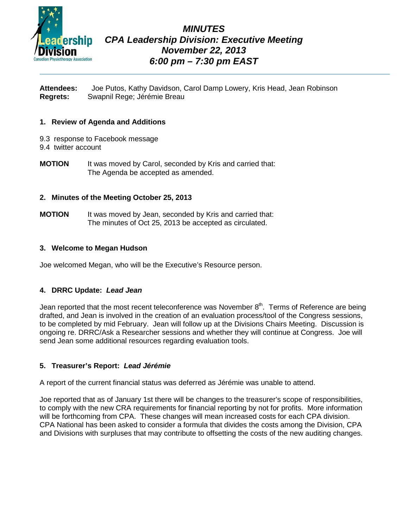

# *MINUTES CPA Leadership Division: Executive Meeting November 22, 2013 6:00 pm – 7:30 pm EAST*

**Attendees:** Joe Putos, Kathy Davidson, Carol Damp Lowery, Kris Head, Jean Robinson **Regrets:** Swapnil Rege; Jérémie Breau

# **1. Review of Agenda and Additions**

- 9.3 response to Facebook message
- 9.4 twitter account
- **MOTION** It was moved by Carol, seconded by Kris and carried that: The Agenda be accepted as amended.

# **2. Minutes of the Meeting October 25, 2013**

**MOTION** It was moved by Jean, seconded by Kris and carried that: The minutes of Oct 25, 2013 be accepted as circulated.

# **3. Welcome to Megan Hudson**

Joe welcomed Megan, who will be the Executive's Resource person.

# **4. DRRC Update:** *Lead Jean*

Jean reported that the most recent teleconference was November  $8<sup>th</sup>$ . Terms of Reference are being drafted, and Jean is involved in the creation of an evaluation process/tool of the Congress sessions, to be completed by mid February. Jean will follow up at the Divisions Chairs Meeting. Discussion is ongoing re. DRRC/Ask a Researcher sessions and whether they will continue at Congress. Joe will send Jean some additional resources regarding evaluation tools.

# **5. Treasurer's Report:** *Lead Jérémie*

A report of the current financial status was deferred as Jérémie was unable to attend.

Joe reported that as of January 1st there will be changes to the treasurer's scope of responsibilities, to comply with the new CRA requirements for financial reporting by not for profits. More information will be forthcoming from CPA. These changes will mean increased costs for each CPA division. CPA National has been asked to consider a formula that divides the costs among the Division, CPA and Divisions with surpluses that may contribute to offsetting the costs of the new auditing changes.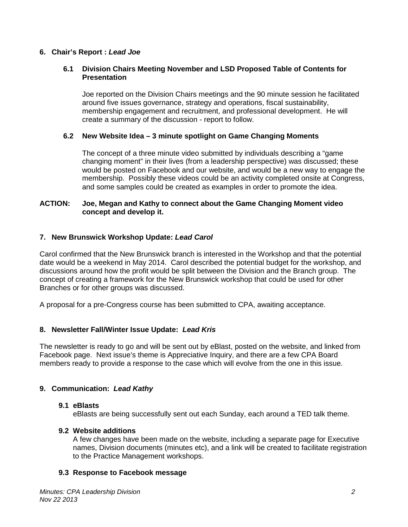# **6. Chair's Report :** *Lead Joe*

# **6.1 Division Chairs Meeting November and LSD Proposed Table of Contents for Presentation**

Joe reported on the Division Chairs meetings and the 90 minute session he facilitated around five issues governance, strategy and operations, fiscal sustainability, membership engagement and recruitment, and professional development. He will create a summary of the discussion - report to follow.

# **6.2 New Website Idea – 3 minute spotlight on Game Changing Moments**

The concept of a three minute video submitted by individuals describing a "game changing moment" in their lives (from a leadership perspective) was discussed; these would be posted on Facebook and our website, and would be a new way to engage the membership. Possibly these videos could be an activity completed onsite at Congress, and some samples could be created as examples in order to promote the idea.

# **ACTION: Joe, Megan and Kathy to connect about the Game Changing Moment video concept and develop it.**

#### **7. New Brunswick Workshop Update:** *Lead Carol*

Carol confirmed that the New Brunswick branch is interested in the Workshop and that the potential date would be a weekend in May 2014. Carol described the potential budget for the workshop, and discussions around how the profit would be split between the Division and the Branch group. The concept of creating a framework for the New Brunswick workshop that could be used for other Branches or for other groups was discussed.

A proposal for a pre-Congress course has been submitted to CPA, awaiting acceptance.

# **8. Newsletter Fall/Winter Issue Update:** *Lead Kris*

The newsletter is ready to go and will be sent out by eBlast, posted on the website, and linked from Facebook page. Next issue's theme is Appreciative Inquiry, and there are a few CPA Board members ready to provide a response to the case which will evolve from the one in this issue.

# **9. Communication:** *Lead Kathy*

#### **9.1 eBlasts**

eBlasts are being successfully sent out each Sunday, each around a TED talk theme.

#### **9.2 Website additions**

A few changes have been made on the website, including a separate page for Executive names, Division documents (minutes etc), and a link will be created to facilitate registration to the Practice Management workshops.

#### **9.3 Response to Facebook message**